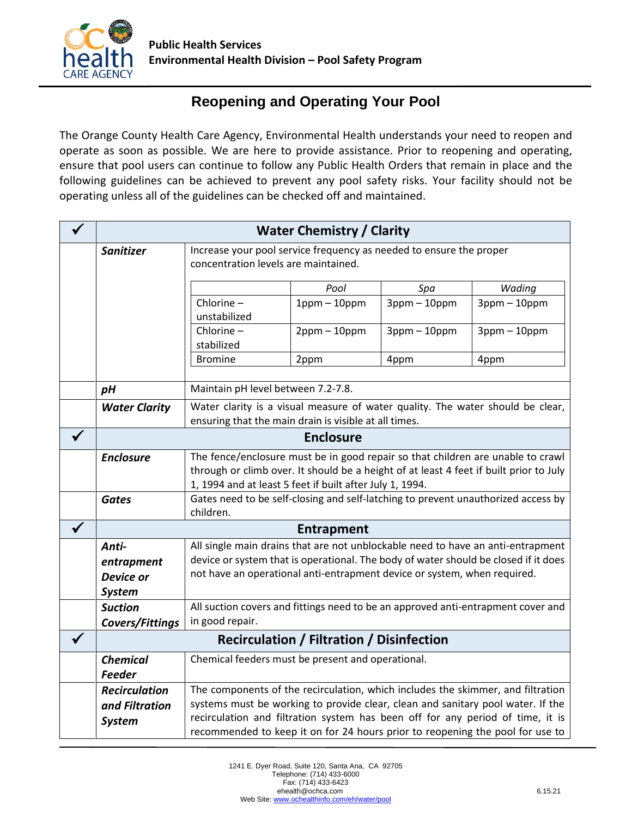

## **Reopening and Operating Your Pool**

a The Orange County Health Care Agency, Environmental Health understands your need to reopen and n operate as soon as possible. We are here to provide assistance. Prior to reopening and operating, d ensure that pool users can continue to follow any Public Health Orders that remain in place and the following guidelines can be achieved to prevent any pool safety risks. Your facility should not be operating unless all of the guidelines can be checked off and maintained.

| <b>Water Chemistry / Clarity</b> |                                                                                                                                                                    |                   |                   |                   |  |
|----------------------------------|--------------------------------------------------------------------------------------------------------------------------------------------------------------------|-------------------|-------------------|-------------------|--|
| <b>Sanitizer</b>                 | Increase your pool service frequency as needed to ensure the proper                                                                                                |                   |                   |                   |  |
|                                  | concentration levels are maintained.                                                                                                                               |                   |                   |                   |  |
|                                  |                                                                                                                                                                    | Pool              | Spa               | Wading            |  |
|                                  | Chlorine-                                                                                                                                                          | $1$ ppm $-10$ ppm | $3$ ppm $-10$ ppm | $3$ ppm $-10$ ppm |  |
|                                  | unstabilized                                                                                                                                                       |                   |                   |                   |  |
|                                  | Chlorine-                                                                                                                                                          | $2$ ppm $-10$ ppm | $3$ ppm $-10$ ppm | $3$ ppm $-10$ ppm |  |
|                                  | stabilized<br><b>Bromine</b>                                                                                                                                       | 2ppm              | 4ppm              | 4ppm              |  |
|                                  |                                                                                                                                                                    |                   |                   |                   |  |
| pH                               | Maintain pH level between 7.2-7.8.                                                                                                                                 |                   |                   |                   |  |
| <b>Water Clarity</b>             | Water clarity is a visual measure of water quality. The water should be clear,                                                                                     |                   |                   |                   |  |
|                                  | ensuring that the main drain is visible at all times.                                                                                                              |                   |                   |                   |  |
|                                  | <b>Enclosure</b>                                                                                                                                                   |                   |                   |                   |  |
| <b>Enclosure</b>                 | The fence/enclosure must be in good repair so that children are unable to crawl                                                                                    |                   |                   |                   |  |
|                                  | through or climb over. It should be a height of at least 4 feet if built prior to July<br>1, 1994 and at least 5 feet if built after July 1, 1994.                 |                   |                   |                   |  |
| <b>Gates</b>                     | Gates need to be self-closing and self-latching to prevent unauthorized access by                                                                                  |                   |                   |                   |  |
|                                  | children.                                                                                                                                                          |                   |                   |                   |  |
|                                  | <b>Entrapment</b>                                                                                                                                                  |                   |                   |                   |  |
| Anti-                            | All single main drains that are not unblockable need to have an anti-entrapment                                                                                    |                   |                   |                   |  |
| entrapment                       | device or system that is operational. The body of water should be closed if it does<br>not have an operational anti-entrapment device or system, when required.    |                   |                   |                   |  |
| Device or                        |                                                                                                                                                                    |                   |                   |                   |  |
| <b>System</b><br><b>Suction</b>  | All suction covers and fittings need to be an approved anti-entrapment cover and                                                                                   |                   |                   |                   |  |
| Covers/Fittings                  | in good repair.                                                                                                                                                    |                   |                   |                   |  |
|                                  | <b>Recirculation / Filtration / Disinfection</b>                                                                                                                   |                   |                   |                   |  |
| <b>Chemical</b>                  | Chemical feeders must be present and operational.                                                                                                                  |                   |                   |                   |  |
| <b>Feeder</b>                    |                                                                                                                                                                    |                   |                   |                   |  |
| <b>Recirculation</b>             |                                                                                                                                                                    |                   |                   |                   |  |
| and Filtration                   | The components of the recirculation, which includes the skimmer, and filtration<br>systems must be working to provide clear, clean and sanitary pool water. If the |                   |                   |                   |  |
| <b>System</b>                    | recirculation and filtration system has been off for any period of time, it is                                                                                     |                   |                   |                   |  |
|                                  | recommended to keep it on for 24 hours prior to reopening the pool for use to                                                                                      |                   |                   |                   |  |
|                                  |                                                                                                                                                                    |                   |                   |                   |  |